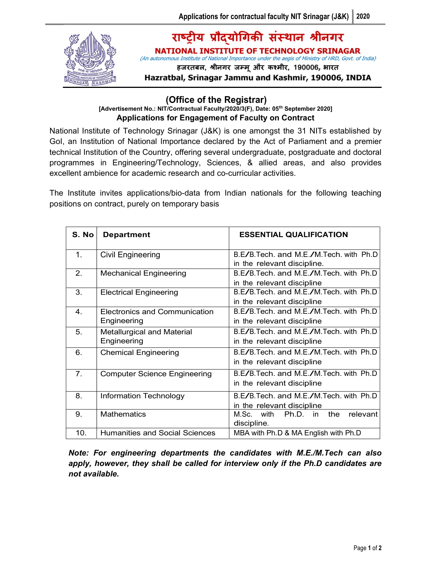

## राष्ट्रीय प्रौदयोगिकी संस्थान श्रीनगर **NATIONAL INSTITUTE OF TECHNOLOGY SRINAGAR**

(An autonomous Institute of National Importance under the aegis of Ministry of HRD, Govt. of India) हजरतबल, श्रीनगर जम्मू और कश्मीर, 190006, भारत

Hazratbal, Srinagar Jammu and Kashmir, 190006, INDIA

## (Office of the Registrar)

## [Advertisement No.: NIT/Contractual Faculty/2020/3(F), Date: 05th September 2020] Applications for Engagement of Faculty on Contract

National Institute of Technology Srinagar (J&K) is one amongst the 31 NITs established by GoI, an Institution of National Importance declared by the Act of Parliament and a premier technical Institution of the Country, offering several undergraduate, postgraduate and doctoral programmes in Engineering/Technology, Sciences, & allied areas, and also provides excellent ambience for academic research and co-curricular activities.

The Institute invites applications/bio-data from Indian nationals for the following teaching positions on contract, purely on temporary basis

| S. No          | <b>Department</b>                                   | <b>ESSENTIAL QUALIFICATION</b>                                        |
|----------------|-----------------------------------------------------|-----------------------------------------------------------------------|
| 1.             | <b>Civil Engineering</b>                            | B.E/B.Tech. and M.E./M.Tech. with Ph.D<br>in the relevant discipline. |
| 2.             | <b>Mechanical Engineering</b>                       | B.E/B.Tech. and M.E./M.Tech. with Ph.D<br>in the relevant discipline  |
| 3.             | <b>Electrical Engineering</b>                       | B.E/B.Tech. and M.E./M.Tech. with Ph.D<br>in the relevant discipline  |
| $\mathbf{4}$ . | <b>Electronics and Communication</b><br>Engineering | B.E/B.Tech. and M.E./M.Tech. with Ph.D<br>in the relevant discipline  |
| 5.             | <b>Metallurgical and Material</b><br>Engineering    | B.E/B.Tech. and M.E./M.Tech. with Ph.D<br>in the relevant discipline  |
| 6.             | <b>Chemical Engineering</b>                         | B.E/B.Tech. and M.E./M.Tech. with Ph.D<br>in the relevant discipline  |
| 7.             | <b>Computer Science Engineering</b>                 | B.E/B.Tech. and M.E./M.Tech. with Ph.D<br>in the relevant discipline  |
| 8.             | Information Technology                              | B.E/B.Tech. and M.E./M.Tech. with Ph.D<br>in the relevant discipline  |
| 9.             | <b>Mathematics</b>                                  | M.Sc.<br>with<br>Ph.D. in<br>the<br>relevant<br>discipline.           |
| 10.            | <b>Humanities and Social Sciences</b>               | MBA with Ph.D & MA English with Ph.D                                  |

Note: For engineering departments the candidates with M.E./M.Tech can also apply, however, they shall be called for interview only if the Ph.D candidates are not available.